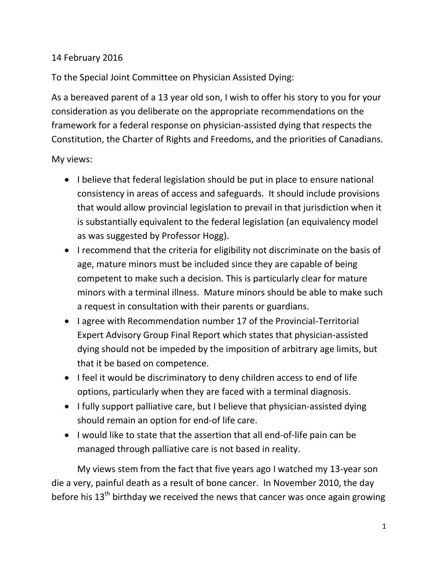## 14 February 2016

To the Special Joint Committee on Physician Assisted Dying:

As a bereaved parent of a 13 year old son, I wish to offer his story to you for your consideration as you deliberate on the appropriate recommendations on the framework for a federal response on physician-assisted dying that respects the Constitution, the Charter of Rights and Freedoms, and the priorities of Canadians.

My views:

- I believe that federal legislation should be put in place to ensure national consistency in areas of access and safeguards. It should include provisions that would allow provincial legislation to prevail in that jurisdiction when it is substantially equivalent to the federal legislation (an equivalency model as was suggested by Professor Hogg).
- I recommend that the criteria for eligibility not discriminate on the basis of age, mature minors must be included since they are capable of being competent to make such a decision. This is particularly clear for mature minors with a terminal illness. Mature minors should be able to make such a request in consultation with their parents or guardians.
- I agree with Recommendation number 17 of the Provincial-Territorial Expert Advisory Group Final Report which states that physician-assisted dying should not be impeded by the imposition of arbitrary age limits, but that it be based on competence.
- I feel it would be discriminatory to deny children access to end of life options, particularly when they are faced with a terminal diagnosis.
- I fully support palliative care, but I believe that physician-assisted dying should remain an option for end-of life care.
- I would like to state that the assertion that all end-of-life pain can be managed through palliative care is not based in reality.

My views stem from the fact that five years ago I watched my 13-year son die a very, painful death as a result of bone cancer. In November 2010, the day before his  $13<sup>th</sup>$  birthday we received the news that cancer was once again growing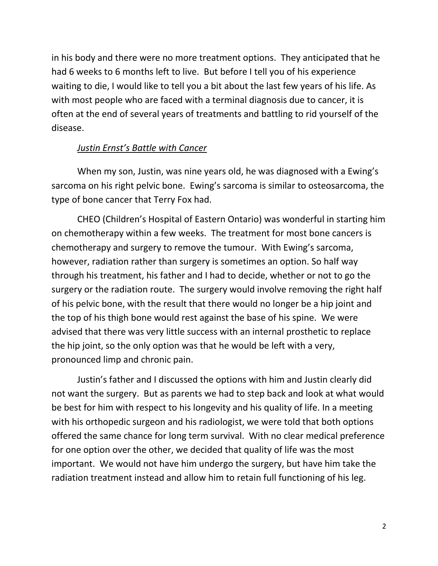in his body and there were no more treatment options. They anticipated that he had 6 weeks to 6 months left to live. But before I tell you of his experience waiting to die, I would like to tell you a bit about the last few years of his life. As with most people who are faced with a terminal diagnosis due to cancer, it is often at the end of several years of treatments and battling to rid yourself of the disease.

## *Justin Ernst's Battle with Cancer*

When my son, Justin, was nine years old, he was diagnosed with a Ewing's sarcoma on his right pelvic bone. Ewing's sarcoma is similar to osteosarcoma, the type of bone cancer that Terry Fox had.

CHEO (Children's Hospital of Eastern Ontario) was wonderful in starting him on chemotherapy within a few weeks. The treatment for most bone cancers is chemotherapy and surgery to remove the tumour. With Ewing's sarcoma, however, radiation rather than surgery is sometimes an option. So half way through his treatment, his father and I had to decide, whether or not to go the surgery or the radiation route. The surgery would involve removing the right half of his pelvic bone, with the result that there would no longer be a hip joint and the top of his thigh bone would rest against the base of his spine. We were advised that there was very little success with an internal prosthetic to replace the hip joint, so the only option was that he would be left with a very, pronounced limp and chronic pain.

Justin's father and I discussed the options with him and Justin clearly did not want the surgery. But as parents we had to step back and look at what would be best for him with respect to his longevity and his quality of life. In a meeting with his orthopedic surgeon and his radiologist, we were told that both options offered the same chance for long term survival. With no clear medical preference for one option over the other, we decided that quality of life was the most important. We would not have him undergo the surgery, but have him take the radiation treatment instead and allow him to retain full functioning of his leg.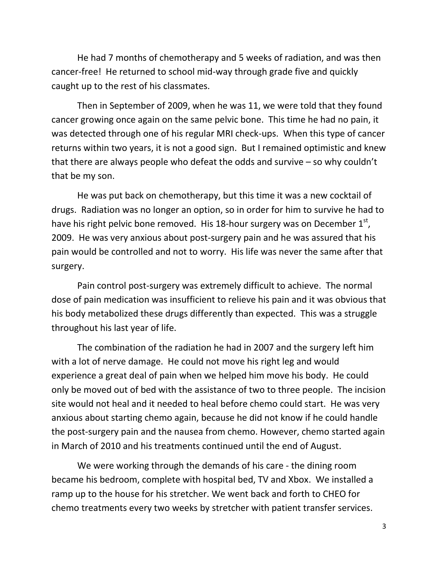He had 7 months of chemotherapy and 5 weeks of radiation, and was then cancer-free! He returned to school mid-way through grade five and quickly caught up to the rest of his classmates.

Then in September of 2009, when he was 11, we were told that they found cancer growing once again on the same pelvic bone. This time he had no pain, it was detected through one of his regular MRI check-ups. When this type of cancer returns within two years, it is not a good sign. But I remained optimistic and knew that there are always people who defeat the odds and survive – so why couldn't that be my son.

He was put back on chemotherapy, but this time it was a new cocktail of drugs. Radiation was no longer an option, so in order for him to survive he had to have his right pelvic bone removed. His 18-hour surgery was on December  $1<sup>st</sup>$ , 2009. He was very anxious about post-surgery pain and he was assured that his pain would be controlled and not to worry. His life was never the same after that surgery.

Pain control post-surgery was extremely difficult to achieve. The normal dose of pain medication was insufficient to relieve his pain and it was obvious that his body metabolized these drugs differently than expected. This was a struggle throughout his last year of life.

The combination of the radiation he had in 2007 and the surgery left him with a lot of nerve damage. He could not move his right leg and would experience a great deal of pain when we helped him move his body. He could only be moved out of bed with the assistance of two to three people. The incision site would not heal and it needed to heal before chemo could start. He was very anxious about starting chemo again, because he did not know if he could handle the post-surgery pain and the nausea from chemo. However, chemo started again in March of 2010 and his treatments continued until the end of August.

We were working through the demands of his care - the dining room became his bedroom, complete with hospital bed, TV and Xbox. We installed a ramp up to the house for his stretcher. We went back and forth to CHEO for chemo treatments every two weeks by stretcher with patient transfer services.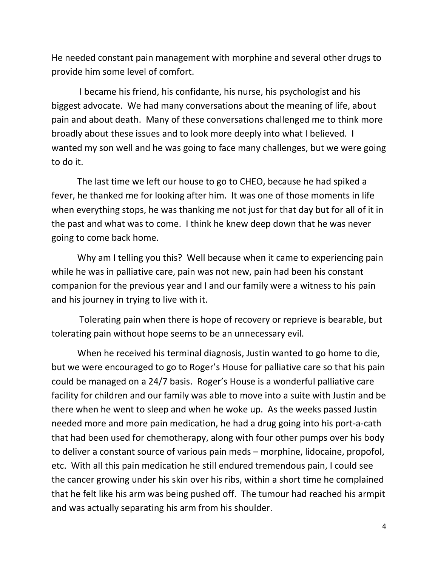He needed constant pain management with morphine and several other drugs to provide him some level of comfort.

I became his friend, his confidante, his nurse, his psychologist and his biggest advocate. We had many conversations about the meaning of life, about pain and about death. Many of these conversations challenged me to think more broadly about these issues and to look more deeply into what I believed. I wanted my son well and he was going to face many challenges, but we were going to do it.

The last time we left our house to go to CHEO, because he had spiked a fever, he thanked me for looking after him. It was one of those moments in life when everything stops, he was thanking me not just for that day but for all of it in the past and what was to come. I think he knew deep down that he was never going to come back home.

Why am I telling you this? Well because when it came to experiencing pain while he was in palliative care, pain was not new, pain had been his constant companion for the previous year and I and our family were a witness to his pain and his journey in trying to live with it.

Tolerating pain when there is hope of recovery or reprieve is bearable, but tolerating pain without hope seems to be an unnecessary evil.

When he received his terminal diagnosis, Justin wanted to go home to die, but we were encouraged to go to Roger's House for palliative care so that his pain could be managed on a 24/7 basis. Roger's House is a wonderful palliative care facility for children and our family was able to move into a suite with Justin and be there when he went to sleep and when he woke up. As the weeks passed Justin needed more and more pain medication, he had a drug going into his port-a-cath that had been used for chemotherapy, along with four other pumps over his body to deliver a constant source of various pain meds – morphine, lidocaine, propofol, etc. With all this pain medication he still endured tremendous pain, I could see the cancer growing under his skin over his ribs, within a short time he complained that he felt like his arm was being pushed off. The tumour had reached his armpit and was actually separating his arm from his shoulder.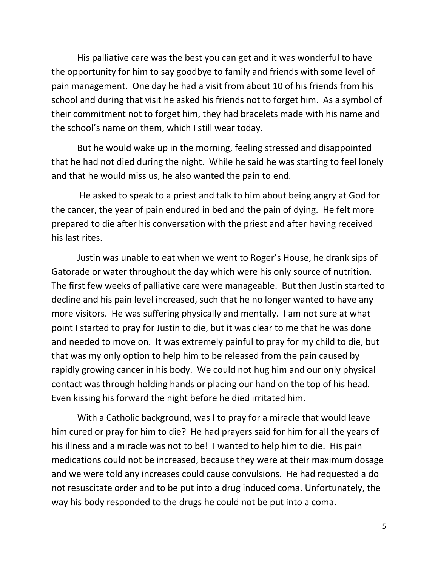His palliative care was the best you can get and it was wonderful to have the opportunity for him to say goodbye to family and friends with some level of pain management. One day he had a visit from about 10 of his friends from his school and during that visit he asked his friends not to forget him. As a symbol of their commitment not to forget him, they had bracelets made with his name and the school's name on them, which I still wear today.

But he would wake up in the morning, feeling stressed and disappointed that he had not died during the night. While he said he was starting to feel lonely and that he would miss us, he also wanted the pain to end.

He asked to speak to a priest and talk to him about being angry at God for the cancer, the year of pain endured in bed and the pain of dying. He felt more prepared to die after his conversation with the priest and after having received his last rites.

Justin was unable to eat when we went to Roger's House, he drank sips of Gatorade or water throughout the day which were his only source of nutrition. The first few weeks of palliative care were manageable. But then Justin started to decline and his pain level increased, such that he no longer wanted to have any more visitors. He was suffering physically and mentally. I am not sure at what point I started to pray for Justin to die, but it was clear to me that he was done and needed to move on. It was extremely painful to pray for my child to die, but that was my only option to help him to be released from the pain caused by rapidly growing cancer in his body. We could not hug him and our only physical contact was through holding hands or placing our hand on the top of his head. Even kissing his forward the night before he died irritated him.

With a Catholic background, was I to pray for a miracle that would leave him cured or pray for him to die? He had prayers said for him for all the years of his illness and a miracle was not to be! I wanted to help him to die. His pain medications could not be increased, because they were at their maximum dosage and we were told any increases could cause convulsions. He had requested a do not resuscitate order and to be put into a drug induced coma. Unfortunately, the way his body responded to the drugs he could not be put into a coma.